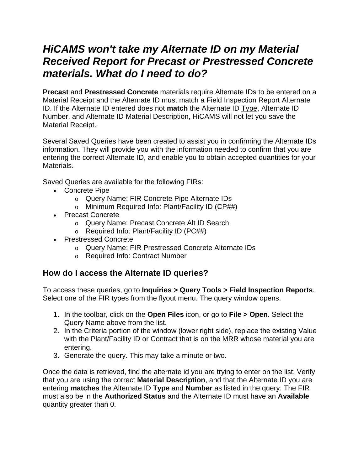## *HiCAMS won't take my Alternate ID on my Material Received Report for Precast or Prestressed Concrete materials. What do I need to do?*

**Precast** and **Prestressed Concrete** materials require Alternate IDs to be entered on a Material Receipt and the Alternate ID must match a Field Inspection Report Alternate ID. If the Alternate ID entered does not **match** the Alternate ID Type, Alternate ID Number, and Alternate ID Material Description, HiCAMS will not let you save the Material Receipt.

Several Saved Queries have been created to assist you in confirming the Alternate IDs information. They will provide you with the information needed to confirm that you are entering the correct Alternate ID, and enable you to obtain accepted quantities for your Materials.

Saved Queries are available for the following FIRs:

- Concrete Pipe
	- o Query Name: FIR Concrete Pipe Alternate IDs
	- o Minimum Required Info: Plant/Facility ID (CP##)
- Precast Concrete
	- o Query Name: Precast Concrete Alt ID Search
	- o Required Info: Plant/Facility ID (PC##)
- Prestressed Concrete
	- o Query Name: FIR Prestressed Concrete Alternate IDs
	- o Required Info: Contract Number

## **How do I access the Alternate ID queries?**

To access these queries, go to **Inquiries > Query Tools > Field Inspection Reports**. Select one of the FIR types from the flyout menu. The query window opens.

- 1. In the toolbar, click on the **Open Files** icon, or go to **File > Open**. Select the Query Name above from the list.
- 2. In the Criteria portion of the window (lower right side), replace the existing Value with the Plant/Facility ID or Contract that is on the MRR whose material you are entering.
- 3. Generate the query. This may take a minute or two.

Once the data is retrieved, find the alternate id you are trying to enter on the list. Verify that you are using the correct **Material Description**, and that the Alternate ID you are entering **matches** the Alternate ID **Type** and **Number** as listed in the query. The FIR must also be in the **Authorized Status** and the Alternate ID must have an **Available** quantity greater than 0.